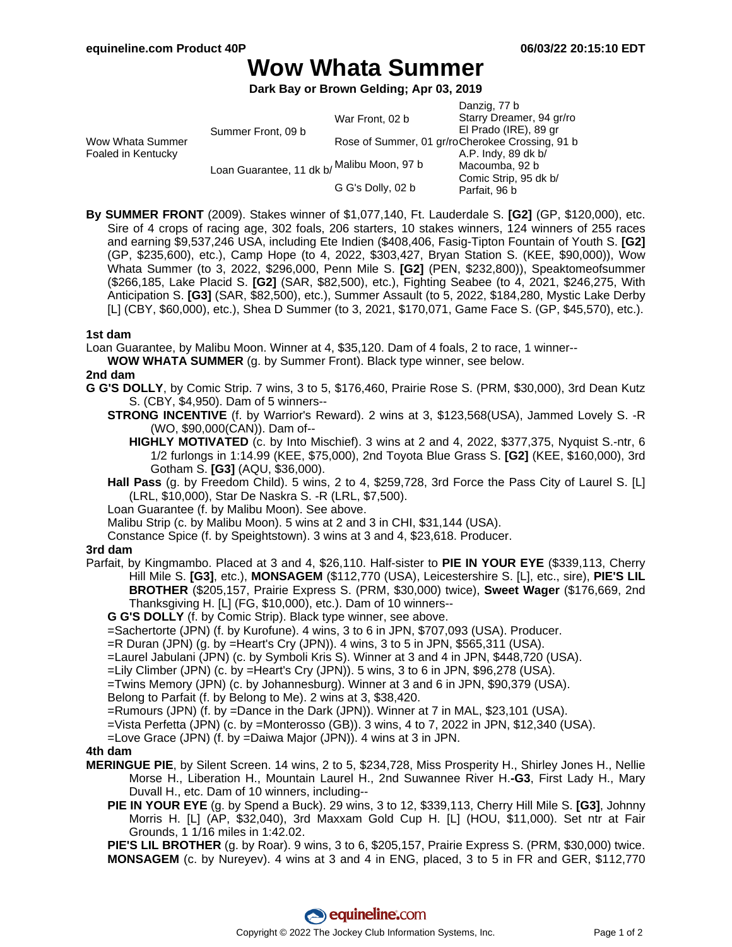# **Wow Whata Summer**

**Dark Bay or Brown Gelding; Apr 03, 2019**

|                                        |                                            |                   | Danzig, 77 b                                    |
|----------------------------------------|--------------------------------------------|-------------------|-------------------------------------------------|
| Wow Whata Summer<br>Foaled in Kentucky | Summer Front, 09 b                         | War Front, 02 b   | Starry Dreamer, 94 gr/ro                        |
|                                        |                                            |                   | El Prado (IRE), 89 gr                           |
|                                        |                                            |                   | Rose of Summer, 01 gr/roCherokee Crossing, 91 b |
|                                        | Loan Guarantee, 11 dk b/ Malibu Moon, 97 b |                   | A.P. Indy, 89 dk b/                             |
|                                        |                                            |                   | Macoumba, 92 b                                  |
|                                        |                                            |                   | Comic Strip, 95 dk b/                           |
|                                        |                                            | G G's Dolly, 02 b | Parfait, 96 b                                   |
|                                        |                                            |                   |                                                 |

**By SUMMER FRONT** (2009). Stakes winner of \$1,077,140, Ft. Lauderdale S. **[G2]** (GP, \$120,000), etc. Sire of 4 crops of racing age, 302 foals, 206 starters, 10 stakes winners, 124 winners of 255 races and earning \$9,537,246 USA, including Ete Indien (\$408,406, Fasig-Tipton Fountain of Youth S. **[G2]** (GP, \$235,600), etc.), Camp Hope (to 4, 2022, \$303,427, Bryan Station S. (KEE, \$90,000)), Wow Whata Summer (to 3, 2022, \$296,000, Penn Mile S. **[G2]** (PEN, \$232,800)), Speaktomeofsummer (\$266,185, Lake Placid S. **[G2]** (SAR, \$82,500), etc.), Fighting Seabee (to 4, 2021, \$246,275, With Anticipation S. **[G3]** (SAR, \$82,500), etc.), Summer Assault (to 5, 2022, \$184,280, Mystic Lake Derby [L] (CBY, \$60,000), etc.), Shea D Summer (to 3, 2021, \$170,071, Game Face S. (GP, \$45,570), etc.).

### **1st dam**

Loan Guarantee, by Malibu Moon. Winner at 4, \$35,120. Dam of 4 foals, 2 to race, 1 winner--

**WOW WHATA SUMMER** (g. by Summer Front). Black type winner, see below.

#### **2nd dam**

- **G G'S DOLLY**, by Comic Strip. 7 wins, 3 to 5, \$176,460, Prairie Rose S. (PRM, \$30,000), 3rd Dean Kutz S. (CBY, \$4,950). Dam of 5 winners--
	- **STRONG INCENTIVE** (f. by Warrior's Reward). 2 wins at 3, \$123,568(USA), Jammed Lovely S. -R (WO, \$90,000(CAN)). Dam of--
		- **HIGHLY MOTIVATED** (c. by Into Mischief). 3 wins at 2 and 4, 2022, \$377,375, Nyquist S.-ntr, 6 1/2 furlongs in 1:14.99 (KEE, \$75,000), 2nd Toyota Blue Grass S. **[G2]** (KEE, \$160,000), 3rd Gotham S. **[G3]** (AQU, \$36,000).
	- **Hall Pass** (g. by Freedom Child). 5 wins, 2 to 4, \$259,728, 3rd Force the Pass City of Laurel S. [L] (LRL, \$10,000), Star De Naskra S. -R (LRL, \$7,500).
	- Loan Guarantee (f. by Malibu Moon). See above.

Malibu Strip (c. by Malibu Moon). 5 wins at 2 and 3 in CHI, \$31,144 (USA).

Constance Spice (f. by Speightstown). 3 wins at 3 and 4, \$23,618. Producer.

#### **3rd dam**

- Parfait, by Kingmambo. Placed at 3 and 4, \$26,110. Half-sister to **PIE IN YOUR EYE** (\$339,113, Cherry Hill Mile S. **[G3]**, etc.), **MONSAGEM** (\$112,770 (USA), Leicestershire S. [L], etc., sire), **PIE'S LIL BROTHER** (\$205,157, Prairie Express S. (PRM, \$30,000) twice), **Sweet Wager** (\$176,669, 2nd Thanksgiving H. [L] (FG, \$10,000), etc.). Dam of 10 winners--
	- **G G'S DOLLY** (f. by Comic Strip). Black type winner, see above.
	- =Sachertorte (JPN) (f. by Kurofune). 4 wins, 3 to 6 in JPN, \$707,093 (USA). Producer.
	- =R Duran (JPN) (g. by =Heart's Cry (JPN)). 4 wins, 3 to 5 in JPN, \$565,311 (USA).
	- =Laurel Jabulani (JPN) (c. by Symboli Kris S). Winner at 3 and 4 in JPN, \$448,720 (USA).
	- =Lily Climber (JPN) (c. by =Heart's Cry (JPN)). 5 wins, 3 to 6 in JPN, \$96,278 (USA).
	- =Twins Memory (JPN) (c. by Johannesburg). Winner at 3 and 6 in JPN, \$90,379 (USA).

Belong to Parfait (f. by Belong to Me). 2 wins at 3, \$38,420.

- =Rumours (JPN) (f. by =Dance in the Dark (JPN)). Winner at 7 in MAL, \$23,101 (USA).
- =Vista Perfetta (JPN) (c. by =Monterosso (GB)). 3 wins, 4 to 7, 2022 in JPN, \$12,340 (USA).
- =Love Grace (JPN) (f. by =Daiwa Major (JPN)). 4 wins at 3 in JPN.

#### **4th dam**

- **MERINGUE PIE**, by Silent Screen. 14 wins, 2 to 5, \$234,728, Miss Prosperity H., Shirley Jones H., Nellie Morse H., Liberation H., Mountain Laurel H., 2nd Suwannee River H.**-G3**, First Lady H., Mary Duvall H., etc. Dam of 10 winners, including--
	- **PIE IN YOUR EYE** (g. by Spend a Buck). 29 wins, 3 to 12, \$339,113, Cherry Hill Mile S. **[G3]**, Johnny Morris H. [L] (AP, \$32,040), 3rd Maxxam Gold Cup H. [L] (HOU, \$11,000). Set ntr at Fair Grounds, 1 1/16 miles in 1:42.02.

**PIE'S LIL BROTHER** (g. by Roar). 9 wins, 3 to 6, \$205,157, Prairie Express S. (PRM, \$30,000) twice. **MONSAGEM** (c. by Nureyev). 4 wins at 3 and 4 in ENG, placed, 3 to 5 in FR and GER, \$112,770